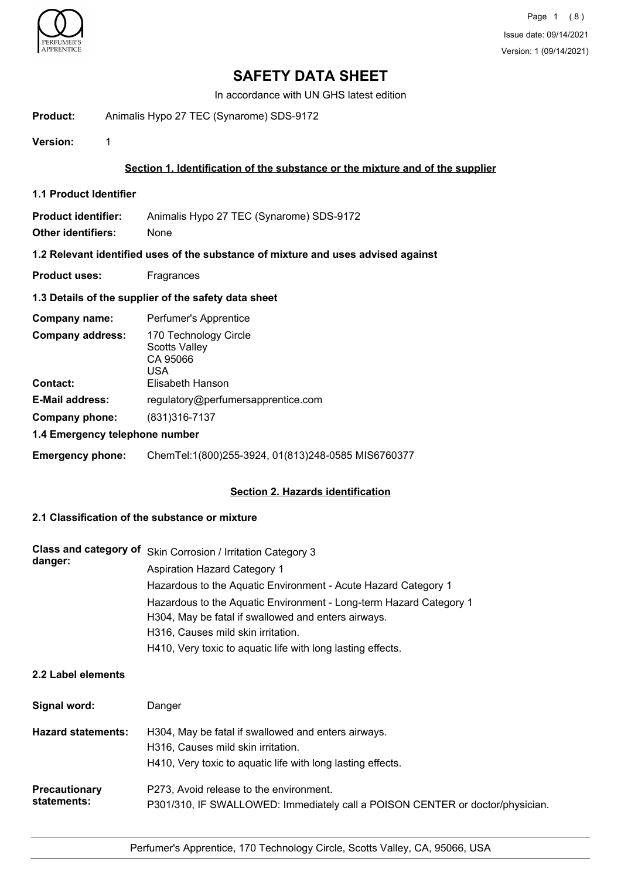

In accordance with UN GHS latest edition

#### **Product:** Animalis Hypo 27 TEC (Synarome) SDS-9172

**Version:** 1

## **Section 1. Identification of the substance or the mixture and of the supplier**

**1.1 Product Identifier**

| Product identifier: | Animalis Hypo 27 TEC (Synarome) SDS-9172 |
|---------------------|------------------------------------------|
|                     |                                          |

**Other identifiers:** None

#### **1.2 Relevant identified uses of the substance of mixture and uses advised against**

**Product uses:** Fragrances

### **1.3 Details of the supplier of the safety data sheet**

| Company name:                              | Perfumer's Apprentice                                                                |
|--------------------------------------------|--------------------------------------------------------------------------------------|
| <b>Company address:</b><br><b>Contact:</b> | 170 Technology Circle<br><b>Scotts Valley</b><br>CA 95066<br>USA<br>Elisabeth Hanson |
|                                            |                                                                                      |
| <b>E-Mail address:</b>                     | regulatory@perfumersapprentice.com                                                   |
| Company phone:                             | $(831)316 - 7137$                                                                    |
| 1.4 Emergency telephone number             |                                                                                      |

#### **Emergency phone:** ChemTel:1(800)255-3924, 01(813)248-0585 MIS6760377

### **Section 2. Hazards identification**

## **2.1 Classification of the substance or mixture**

| danger: | Class and category of Skin Corrosion / Irritation Category 3                                                              |
|---------|---------------------------------------------------------------------------------------------------------------------------|
|         | Aspiration Hazard Category 1                                                                                              |
|         | Hazardous to the Aquatic Environment - Acute Hazard Category 1                                                            |
|         | Hazardous to the Aquatic Environment - Long-term Hazard Category 1<br>H304, May be fatal if swallowed and enters airways. |
|         | H316, Causes mild skin irritation.                                                                                        |
|         | H410, Very toxic to aquatic life with long lasting effects.                                                               |

## **2.2 Label elements**

| Signal word:                        | Danger                                                                                                                                                   |
|-------------------------------------|----------------------------------------------------------------------------------------------------------------------------------------------------------|
| <b>Hazard statements:</b>           | H304, May be fatal if swallowed and enters airways.<br>H316, Causes mild skin irritation.<br>H410, Very toxic to aquatic life with long lasting effects. |
| <b>Precautionary</b><br>statements: | P273, Avoid release to the environment.<br>P301/310, IF SWALLOWED: Immediately call a POISON CENTER or doctor/physician.                                 |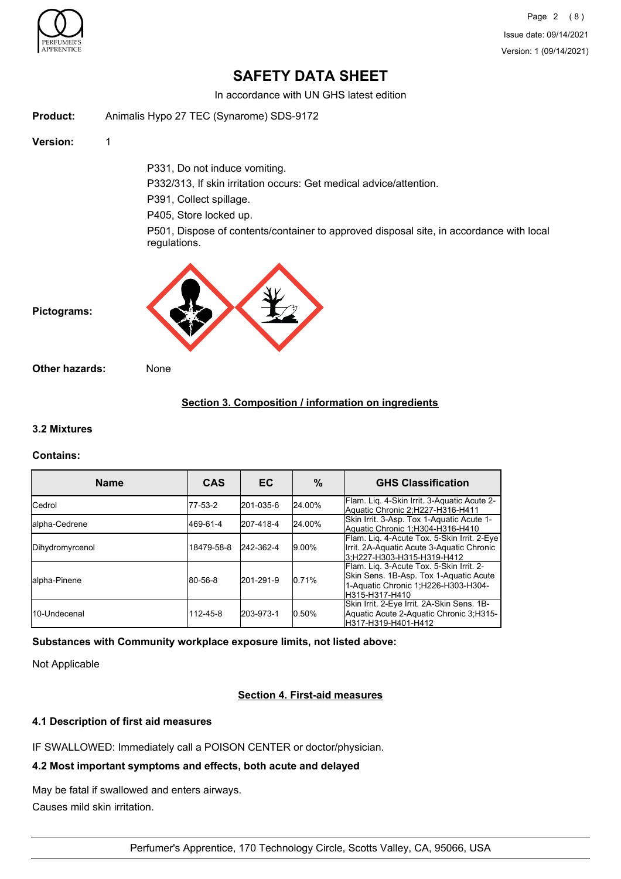

In accordance with UN GHS latest edition

**Product:** Animalis Hypo 27 TEC (Synarome) SDS-9172

**Version:** 1

P331, Do not induce vomiting.

P332/313, If skin irritation occurs: Get medical advice/attention.

P391, Collect spillage.

P405, Store locked up.

P501, Dispose of contents/container to approved disposal site, in accordance with local regulations.



**Pictograms:**

**Other hazards:** None

## **Section 3. Composition / information on ingredients**

### **3.2 Mixtures**

#### **Contains:**

| <b>Name</b>     | <b>CAS</b> | EC.       | %        | <b>GHS Classification</b>                                                                                                                    |
|-----------------|------------|-----------|----------|----------------------------------------------------------------------------------------------------------------------------------------------|
| <b>Cedrol</b>   | 77-53-2    | 201-035-6 | 24.00%   | Flam. Lig. 4-Skin Irrit. 3-Aquatic Acute 2-<br>Aquatic Chronic 2;H227-H316-H411                                                              |
| lalpha-Cedrene  | 469-61-4   | 207-418-4 | 24.00%   | Skin Irrit. 3-Asp. Tox 1-Aquatic Acute 1-<br>Aquatic Chronic 1:H304-H316-H410                                                                |
| Dihydromyrcenol | 18479-58-8 | 242-362-4 | $9.00\%$ | Flam. Lig. 4-Acute Tox. 5-Skin Irrit. 2-Eye<br>Irrit. 2A-Aquatic Acute 3-Aquatic Chronic<br>3:H227-H303-H315-H319-H412                       |
| lalpha-Pinene   | 80-56-8    | 201-291-9 | 10.71%   | Flam. Lig. 3-Acute Tox. 5-Skin Irrit. 2-<br>Skin Sens. 1B-Asp. Tox 1-Aquatic Acute<br>1-Aquatic Chronic 1; H226-H303-H304-<br>H315-H317-H410 |
| l10-Undecenal   | 112-45-8   | 203-973-1 | 10.50%   | Skin Irrit. 2-Eye Irrit. 2A-Skin Sens. 1B-<br>Aquatic Acute 2-Aquatic Chronic 3;H315-<br>H317-H319-H401-H412                                 |

**Substances with Community workplace exposure limits, not listed above:**

Not Applicable

### **Section 4. First-aid measures**

#### **4.1 Description of first aid measures**

IF SWALLOWED: Immediately call a POISON CENTER or doctor/physician.

## **4.2 Most important symptoms and effects, both acute and delayed**

May be fatal if swallowed and enters airways. Causes mild skin irritation.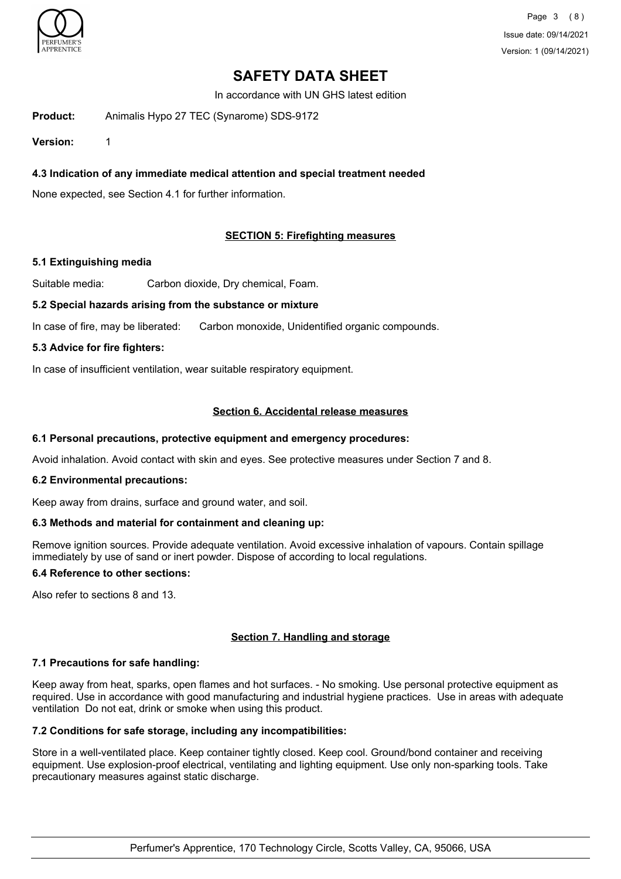

In accordance with UN GHS latest edition

**Product:** Animalis Hypo 27 TEC (Synarome) SDS-9172

**Version:** 1

## **4.3 Indication of any immediate medical attention and special treatment needed**

None expected, see Section 4.1 for further information.

## **SECTION 5: Firefighting measures**

#### **5.1 Extinguishing media**

Suitable media: Carbon dioxide, Dry chemical, Foam.

#### **5.2 Special hazards arising from the substance or mixture**

In case of fire, may be liberated: Carbon monoxide, Unidentified organic compounds.

#### **5.3 Advice for fire fighters:**

In case of insufficient ventilation, wear suitable respiratory equipment.

#### **Section 6. Accidental release measures**

#### **6.1 Personal precautions, protective equipment and emergency procedures:**

Avoid inhalation. Avoid contact with skin and eyes. See protective measures under Section 7 and 8.

#### **6.2 Environmental precautions:**

Keep away from drains, surface and ground water, and soil.

#### **6.3 Methods and material for containment and cleaning up:**

Remove ignition sources. Provide adequate ventilation. Avoid excessive inhalation of vapours. Contain spillage immediately by use of sand or inert powder. Dispose of according to local regulations.

#### **6.4 Reference to other sections:**

Also refer to sections 8 and 13.

## **Section 7. Handling and storage**

#### **7.1 Precautions for safe handling:**

Keep away from heat, sparks, open flames and hot surfaces. - No smoking. Use personal protective equipment as required. Use in accordance with good manufacturing and industrial hygiene practices. Use in areas with adequate ventilation Do not eat, drink or smoke when using this product.

#### **7.2 Conditions for safe storage, including any incompatibilities:**

Store in a well-ventilated place. Keep container tightly closed. Keep cool. Ground/bond container and receiving equipment. Use explosion-proof electrical, ventilating and lighting equipment. Use only non-sparking tools. Take precautionary measures against static discharge.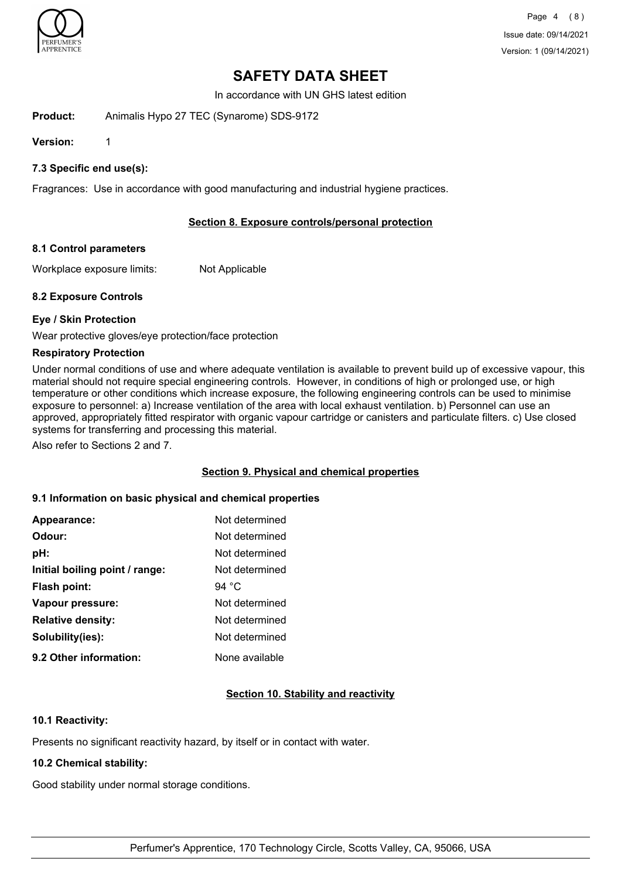

In accordance with UN GHS latest edition

**Product:** Animalis Hypo 27 TEC (Synarome) SDS-9172

**Version:** 1

**7.3 Specific end use(s):**

Fragrances: Use in accordance with good manufacturing and industrial hygiene practices.

## **Section 8. Exposure controls/personal protection**

#### **8.1 Control parameters**

Workplace exposure limits: Not Applicable

#### **8.2 Exposure Controls**

#### **Eye / Skin Protection**

Wear protective gloves/eye protection/face protection

#### **Respiratory Protection**

Under normal conditions of use and where adequate ventilation is available to prevent build up of excessive vapour, this material should not require special engineering controls. However, in conditions of high or prolonged use, or high temperature or other conditions which increase exposure, the following engineering controls can be used to minimise exposure to personnel: a) Increase ventilation of the area with local exhaust ventilation. b) Personnel can use an approved, appropriately fitted respirator with organic vapour cartridge or canisters and particulate filters. c) Use closed systems for transferring and processing this material.

Also refer to Sections 2 and 7.

### **Section 9. Physical and chemical properties**

#### **9.1 Information on basic physical and chemical properties**

| Appearance:                    | Not determined |
|--------------------------------|----------------|
| Odour:                         | Not determined |
| pH:                            | Not determined |
| Initial boiling point / range: | Not determined |
| Flash point:                   | 94 °C          |
| Vapour pressure:               | Not determined |
| <b>Relative density:</b>       | Not determined |
| Solubility(ies):               | Not determined |
| 9.2 Other information:         | None available |

#### **Section 10. Stability and reactivity**

#### **10.1 Reactivity:**

Presents no significant reactivity hazard, by itself or in contact with water.

#### **10.2 Chemical stability:**

Good stability under normal storage conditions.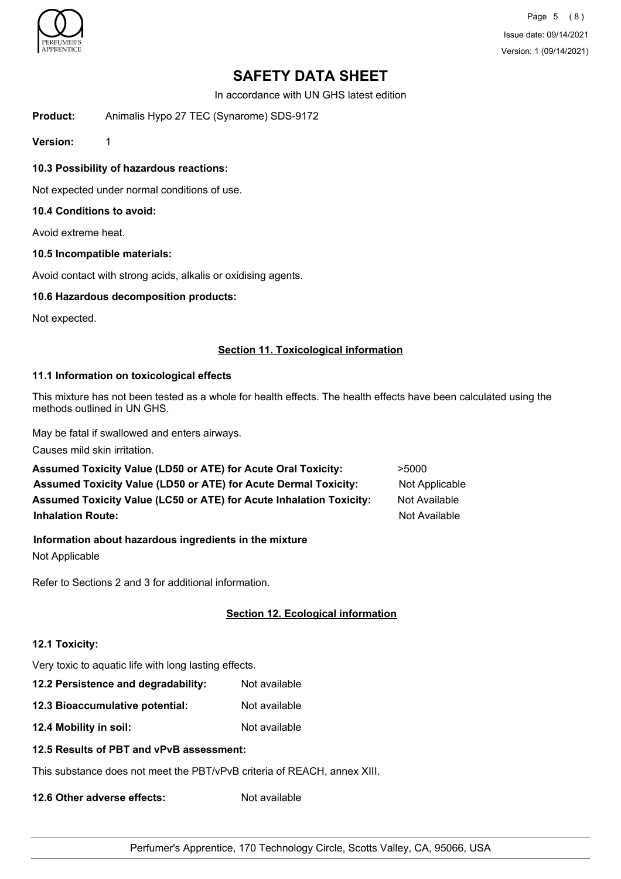

Page 5 (8) Issue date: 09/14/2021 Version: 1 (09/14/2021)

## **SAFETY DATA SHEET**

In accordance with UN GHS latest edition

**Product:** Animalis Hypo 27 TEC (Synarome) SDS-9172

**Version:** 1

**10.3 Possibility of hazardous reactions:**

Not expected under normal conditions of use.

## **10.4 Conditions to avoid:**

Avoid extreme heat.

#### **10.5 Incompatible materials:**

Avoid contact with strong acids, alkalis or oxidising agents.

### **10.6 Hazardous decomposition products:**

Not expected.

#### **Section 11. Toxicological information**

## **11.1 Information on toxicological effects**

This mixture has not been tested as a whole for health effects. The health effects have been calculated using the methods outlined in UN GHS.

May be fatal if swallowed and enters airways.

Causes mild skin irritation.

| Assumed Toxicity Value (LD50 or ATE) for Acute Oral Toxicity:              | >5000          |
|----------------------------------------------------------------------------|----------------|
| Assumed Toxicity Value (LD50 or ATE) for Acute Dermal Toxicity:            | Not Applicable |
| <b>Assumed Toxicity Value (LC50 or ATE) for Acute Inhalation Toxicity:</b> | Not Available  |
| <b>Inhalation Route:</b>                                                   | Not Available  |

#### **Information about hazardous ingredients in the mixture**

Not Applicable

Refer to Sections 2 and 3 for additional information.

## **Section 12. Ecological information**

#### **12.1 Toxicity:**

Very toxic to aquatic life with long lasting effects.

- **12.2 Persistence and degradability:** Not available
- **12.3 Bioaccumulative potential:** Not available
- **12.4 Mobility in soil:** Not available

#### **12.5 Results of PBT and vPvB assessment:**

This substance does not meet the PBT/vPvB criteria of REACH, annex XIII.

**12.6 Other adverse effects:** Not available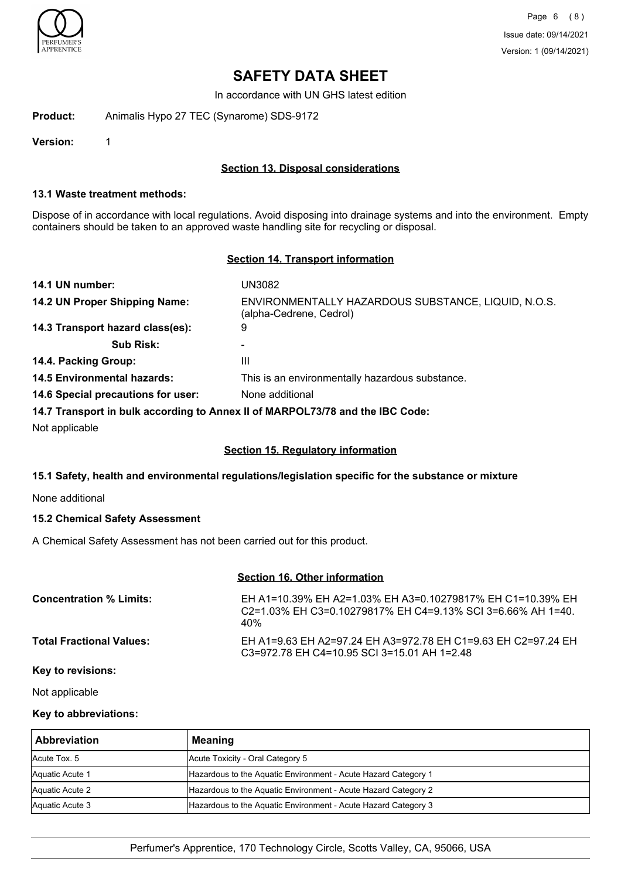

In accordance with UN GHS latest edition

**Product:** Animalis Hypo 27 TEC (Synarome) SDS-9172

**Version:** 1

### **Section 13. Disposal considerations**

#### **13.1 Waste treatment methods:**

Dispose of in accordance with local regulations. Avoid disposing into drainage systems and into the environment. Empty containers should be taken to an approved waste handling site for recycling or disposal.

#### **Section 14. Transport information**

| UN3082                                                                         |
|--------------------------------------------------------------------------------|
| ENVIRONMENTALLY HAZARDOUS SUBSTANCE, LIQUID, N.O.S.<br>(alpha-Cedrene, Cedrol) |
| 9                                                                              |
| -                                                                              |
| Ш                                                                              |
| This is an environmentally hazardous substance.                                |
| None additional                                                                |
|                                                                                |

#### **14.7 Transport in bulk according to Annex II of MARPOL73/78 and the IBC Code:**

Not applicable

#### **Section 15. Regulatory information**

#### **15.1 Safety, health and environmental regulations/legislation specific for the substance or mixture**

None additional

#### **15.2 Chemical Safety Assessment**

A Chemical Safety Assessment has not been carried out for this product.

### **Section 16. Other information**

| <b>Concentration % Limits:</b>  | EH A1=10.39% EH A2=1.03% EH A3=0.10279817% EH C1=10.39% EH<br>$C2 = 1.03\%$ EH C3=0.10279817% EH C4=9.13% SCI 3=6.66% AH 1=40.<br>40% |
|---------------------------------|---------------------------------------------------------------------------------------------------------------------------------------|
| <b>Total Fractional Values:</b> | EH A1=9.63 EH A2=97.24 EH A3=972.78 EH C1=9.63 EH C2=97.24 EH<br>C3=972.78 EH C4=10.95 SCI 3=15.01 AH 1=2.48                          |

#### **Key to revisions:**

Not applicable

### **Key to abbreviations:**

| <b>Abbreviation</b> | <b>Meaning</b>                                                 |
|---------------------|----------------------------------------------------------------|
| Acute Tox. 5        | Acute Toxicity - Oral Category 5                               |
| Aquatic Acute 1     | Hazardous to the Aquatic Environment - Acute Hazard Category 1 |
| Aquatic Acute 2     | Hazardous to the Aquatic Environment - Acute Hazard Category 2 |
| Aquatic Acute 3     | Hazardous to the Aquatic Environment - Acute Hazard Category 3 |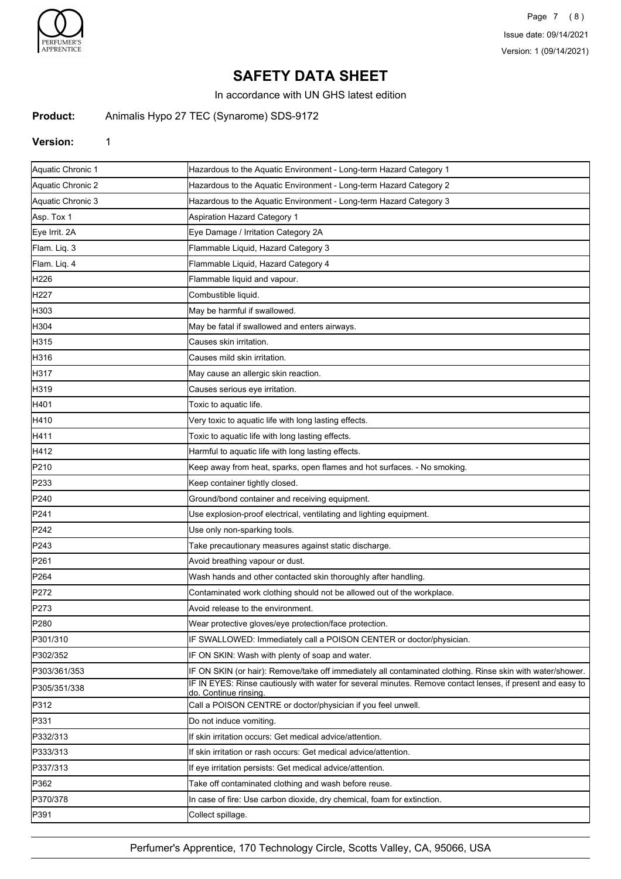

In accordance with UN GHS latest edition

## **Product:** Animalis Hypo 27 TEC (Synarome) SDS-9172

#### **Version:** 1

| Aquatic Chronic 1 | Hazardous to the Aquatic Environment - Long-term Hazard Category 1                                                                  |
|-------------------|-------------------------------------------------------------------------------------------------------------------------------------|
| Aquatic Chronic 2 | Hazardous to the Aquatic Environment - Long-term Hazard Category 2                                                                  |
| Aquatic Chronic 3 | Hazardous to the Aquatic Environment - Long-term Hazard Category 3                                                                  |
| Asp. Tox 1        | Aspiration Hazard Category 1                                                                                                        |
| Eye Irrit. 2A     | Eye Damage / Irritation Category 2A                                                                                                 |
| Flam. Liq. 3      | Flammable Liquid, Hazard Category 3                                                                                                 |
| Flam. Liq. 4      | Flammable Liquid, Hazard Category 4                                                                                                 |
| H226              | Flammable liquid and vapour.                                                                                                        |
| H <sub>227</sub>  | Combustible liquid.                                                                                                                 |
| H303              | May be harmful if swallowed.                                                                                                        |
| H304              | May be fatal if swallowed and enters airways.                                                                                       |
| H315              | Causes skin irritation.                                                                                                             |
| H316              | Causes mild skin irritation.                                                                                                        |
| H317              | May cause an allergic skin reaction.                                                                                                |
| H319              | Causes serious eye irritation.                                                                                                      |
| H401              | Toxic to aquatic life.                                                                                                              |
| H410              | Very toxic to aquatic life with long lasting effects.                                                                               |
| H411              | Toxic to aquatic life with long lasting effects.                                                                                    |
| H412              | Harmful to aquatic life with long lasting effects.                                                                                  |
| P210              | Keep away from heat, sparks, open flames and hot surfaces. - No smoking.                                                            |
| P233              | Keep container tightly closed.                                                                                                      |
| P240              | Ground/bond container and receiving equipment.                                                                                      |
| P241              | Use explosion-proof electrical, ventilating and lighting equipment.                                                                 |
| P242              | Use only non-sparking tools.                                                                                                        |
| P243              | Take precautionary measures against static discharge.                                                                               |
| P <sub>261</sub>  | Avoid breathing vapour or dust.                                                                                                     |
| P <sub>264</sub>  | Wash hands and other contacted skin thoroughly after handling.                                                                      |
| P272              | Contaminated work clothing should not be allowed out of the workplace.                                                              |
| P273              | Avoid release to the environment.                                                                                                   |
| P280              | Wear protective gloves/eye protection/face protection.                                                                              |
| P301/310          | IF SWALLOWED: Immediately call a POISON CENTER or doctor/physician.                                                                 |
| P302/352          | IF ON SKIN: Wash with plenty of soap and water.                                                                                     |
| P303/361/353      | IF ON SKIN (or hair): Remove/take off immediately all contaminated clothing. Rinse skin with water/shower.                          |
| P305/351/338      | IF IN EYES: Rinse cautiously with water for several minutes. Remove contact lenses, if present and easy to<br>do. Continue rinsing. |
| P312              | Call a POISON CENTRE or doctor/physician if you feel unwell.                                                                        |
| P331              | Do not induce vomiting.                                                                                                             |
| P332/313          | If skin irritation occurs: Get medical advice/attention.                                                                            |
| P333/313          | If skin irritation or rash occurs: Get medical advice/attention.                                                                    |
| P337/313          | If eye irritation persists: Get medical advice/attention.                                                                           |
| P362              | Take off contaminated clothing and wash before reuse.                                                                               |
| P370/378          | In case of fire: Use carbon dioxide, dry chemical, foam for extinction.                                                             |
| P391              | Collect spillage.                                                                                                                   |
|                   |                                                                                                                                     |